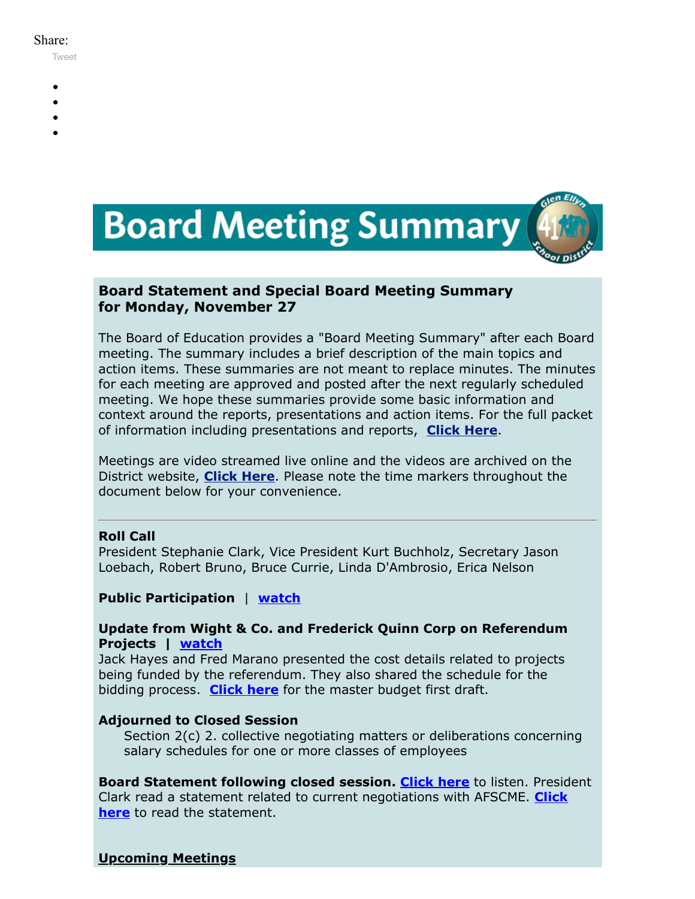#### Share:

[Tweet](https://twitter.com/intent/tweet?original_referer=https%3A%2F%2Fmyemail.constantcontact.com%2FBoard-Statement-and-Special-Meeting-Summary-for-November-27--2017.html%3Fsoid%3D1102200973173%26aid%3DL8SbJz0OGws&ref_src=twsrc%5Etfw&text=Board%20Statement%20and%20Special%20Meeting%20Summary%20for%20November%2027%2C%202017&tw_p=tweetbutton&url=https%3A%2F%2Fmyemail.constantcontact.com%2FBoard-Statement-and-Special-Meeting-Summary-for-November-27--2017.html%3Fsoid%3D1102200973173%26aid%3DL8SbJz0OGws)

- 
- 
- 
- 
- 



# **Board Statement and Special Board Meeting Summary for Monday, November 27**

The Board of Education provides a "Board Meeting Summary" after each Board meeting. The summary includes a brief description of the main topics and action items. These summaries are not meant to replace minutes. The minutes for each meeting are approved and posted after the next regularly scheduled meeting. We hope these summaries provide some basic information and context around the reports, presentations and action items. For the full packet of information including presentations and reports, **[Click Here](http://www.d41.org/domain/36)**.

Meetings are video streamed live online and the videos are archived on the District website, **[Click Here](http://www.d41.org/domain/463)**. Please note the time markers throughout the document below for your convenience.

# **Roll Call**

President Stephanie Clark, Vice President Kurt Buchholz, Secretary Jason Loebach, Robert Bruno, Bruce Currie, Linda D'Ambrosio, Erica Nelson

# **Public Participation** | **[watch](https://youtu.be/OTD2Z5R115Q?t=1m24s)**

### **Update from Wight & Co. and Frederick Quinn Corp on Referendum Projects | [watch](https://youtu.be/OTD2Z5R115Q?t=10m11s)**

Jack Hayes and Fred Marano presented the cost details related to projects being funded by the referendum. They also shared the schedule for the bidding process. **[Click here](https://v3.boardbook.org/Public/PublicItemDownload.aspx?ik=41585364)** for the master budget first draft.

# **Adjourned to Closed Session**

Section 2(c) 2. collective negotiating matters or deliberations concerning salary schedules for one or more classes of employees

**Board Statement following closed session. [Click here](https://v3.boardbook.org/Public/PublicMeetingMaterials.aspx?ak=1000697&mk=50265934#)** to listen. President Clark read a statement related to current [negotiations](https://v3.boardbook.org/Public/PublicItemDownload.aspx?ik=41596398) with AFSCME. **Click here** to read the statement.

# **Upcoming Meetings**